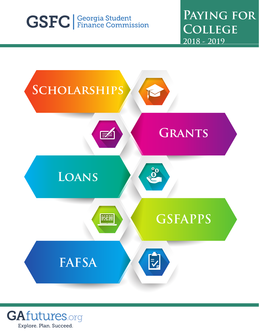# **GSFC** Georgia Student

**Paying for College 2018 - 2019**



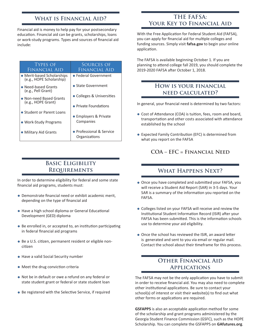#### **What is Financial Aid?**

Financial aid is money to help pay for your postsecondary education. Financial aid can be grants, scholarships, loans or work-study programs. Types and sources of financial aid include:

#### Types of Financial Aid Sources of Financial Aid Merit-based Scholarships (e.g., HOPE Scholarship) Need-based Grants (e.g., Pell Grant) Non-need Based Grants (e.g., HOPE Grant) **• Student or Parent Loans**  Work-Study Programs Military Aid Grants Federal Government ● State Government Colleges & Universities • Private Foundations Employers & Private Companies Professional & Service **Organizations**

## **Basic Eligibility Requirements**

In order to determine eligibility for federal and some state financial aid programs, students must:

- Demonstrate financial need or exhibit academic merit, depending on the type of financial aid
- Have a high school diploma or General Educational Development (GED) diploma
- Be enrolled in, or accepted to, an institution participating in federal financial aid programs
- Be a U.S. citizen, permanent resident or eligible noncitizen
- Have a valid Social Security number
- Meet the drug conviction criteria
- Not be in default or owe a refund on any federal or state student grant or federal or state student loan
- Be registered with the Selective Service, if required

#### **THE FAFSA: Your Key to Financial Aid**

With the Free Application for Federal Student Aid (FAFSA), you can apply for financial aid for multiple colleges and funding sources. Simply visit **fafsa.gov** to begin your online application.

The FAFSA is available beginning October 1. If you are planning to attend college fall 2019, you should complete the 2019-2020 FAFSA after October 1, 2018.

#### **How is your financial need calculated?**

In general, your financial need is determined by two factors:

- Cost of Attendance (COA) is tuition, fees, room and board, transportation and other costs associated with attendance established by the school
- Expected Family Contribution (EFC) is determined from what you report on the FAFSA

**COA – EFC = Financial Need**

#### **What Happens Next?**

- Once you have completed and submitted your FAFSA, you will receive a Student Aid Report (SAR) in 3-5 days. Your SAR is a summary of the information you reported on the FAFSA.
- Colleges listed on your FAFSA will receive and review the Institutional Student Information Record (ISIR) after your FAFSA has been submitted. This is the information schools use to determine your aid eligibility.
- Once the school has reviewed the ISIR, an award letter is generated and sent to you via email or regular mail. Contact the school about their timeframe for this process.

#### **Other Financial Aid Applications**

The FAFSA may not be the only application you have to submit in order to receive financial aid. You may also need to complete other institutional applications. Be sure to contact your school(s) of interest or visit their website(s) to find out what other forms or applications are required.

**GSFAPPS** is also an acceptable application method for some of the scholarship and grant programs administered by the Georgia Student Finance Commission (GSFC), such as the HOPE Scholarship. You can complete the GSFAPPS on **GAfutures.org**.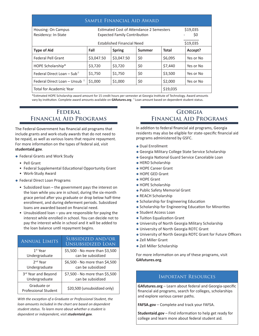| SAMPLE FINANCIAL AID AWARD                |            |                                                                                 |               |                 |           |  |  |
|-------------------------------------------|------------|---------------------------------------------------------------------------------|---------------|-----------------|-----------|--|--|
| Housing: On Campus<br>Residency: In-State |            | Estimated Cost of Attendance 2 Semesters<br><b>Expected Family Contribution</b> |               | \$19,035<br>\$0 |           |  |  |
| \$19,035<br>Established Financial Need    |            |                                                                                 |               |                 |           |  |  |
| <b>Type of Aid</b>                        | Fall       | <b>Spring</b>                                                                   | <b>Summer</b> | <b>Total</b>    | Accept?   |  |  |
| <b>Federal Pell Grant</b>                 | \$3,047.50 | \$3,047.50                                                                      | \$0           | \$6,095         | Yes or No |  |  |
| HOPE Scholarship*                         | \$3,720    | \$3,720                                                                         | \$0           | \$7,440         | Yes or No |  |  |
| Federal Direct Loan – Sub <sup>+</sup>    | \$1,750    | \$1,750                                                                         | \$0           | \$3,500         | Yes or No |  |  |
| Federal Direct Loan – Unsub $+$           | \$1,000    | \$1,000                                                                         | \$0           | \$2,000         | Yes or No |  |  |
| <b>Total for Academic Year</b>            | \$19,035   |                                                                                 |               |                 |           |  |  |

\*Estimated HOPE Scholarship award amount for 15 credit hours per semester at Georgia Institute of Technology. Award amounts vary by institution. Complete award amounts available on **GAfutures.org**. ⍏Loan amount based on dependent student status.

#### **Federal Financial Aid Programs**

The Federal Government has financial aid programs that include grants and work-study awards that do not need to be repaid, as well as various loans that require repayment. For more information on the types of federal aid, visit **studentaid.gov**.

- Federal Grants and Work Study
	- Pell Grant
	- Federal Supplemental Educational Opportunity Grant
	- Work-Study Award
- Federal Direct Loan Programs
	- Subsidized loan the government pays the interest on the loan while you are in school, during the six-month grace period after you graduate or drop below half-time enrollment, and during deferment periods. Subsidized loans are awarded based on financial need.
	- Unsubsidized loan you are responsible for paying the interest while enrolled in school. You can decide not to pay the interest while in school and it will be added to the loan balance until repayment begins.

| <b>ANNUAL LIMITS</b>                | SUBSIDIZED AND/OR<br>UNSUBSIDIZED LOAN |  |  |
|-------------------------------------|----------------------------------------|--|--|
| $1st$ Year                          | \$5,500 - No more than \$3,500         |  |  |
| Undergraduate                       | can be subsidized                      |  |  |
| $2nd$ Year                          | \$6,500 - No more than \$4,500         |  |  |
| Undergraduate                       | can be subsidized                      |  |  |
| 3rd Year and Beyond                 | \$7,500 - No more than \$5,500         |  |  |
| Undergraduate                       | can be subsidized                      |  |  |
| Graduate or<br>Professional Student | \$20,500 (unsubsidized only)           |  |  |

*With the exception of a Graduate or Professional Student, the loan amounts included in the chart are based on dependent student status. To learn more about whether a student is dependent or independent, visit studentaid.gov.*

### **Georgia Financial Aid Programs**

In addition to federal financial aid programs, Georgia residents may also be eligible for state-specific financial aid programs administered by GSFC.

- Dual Enrollment
- Georgia Military College State Service Scholarship
- Georgia National Guard Service Cancelable Loan
- HERO Scholarship
- HOPE Career Grant
- HOPE GED Grant
- HOPE Grant
- HOPE Scholarship
- Public Safety Memorial Grant
- REACH Scholarship
- Scholarship for Engineering Education
- **Scholarship for Engineering Education for Minorities**
- **Student Access Loan**
- Tuition Equalization Grant
- University of North Georgia Military Scholarship
- University of North Georgia ROTC Grant
- University of North Georgia ROTC Grant for Future Officers
- Zell Miller Grant
- Zell Miller Scholarship

For more information on any of these programs, visit **GAfutures.org**.

#### Important Resources

**GAfutures.org** – Learn about federal and Georgia-specific financial aid programs, search for colleges, scholarships and explore various career paths.

**FAFSA.gov** – Complete and track your FAFSA.

**Studentaid.gov** – Find information to help get ready for college and learn more about federal student aid.